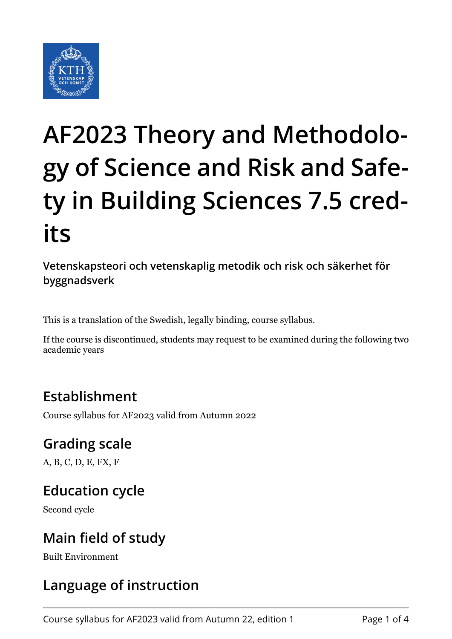

# **AF2023 Theory and Methodology of Science and Risk and Safety in Building Sciences 7.5 credits**

**Vetenskapsteori och vetenskaplig metodik och risk och säkerhet för byggnadsverk**

This is a translation of the Swedish, legally binding, course syllabus.

If the course is discontinued, students may request to be examined during the following two academic years

# **Establishment**

Course syllabus for AF2023 valid from Autumn 2022

## **Grading scale**

A, B, C, D, E, FX, F

## **Education cycle**

Second cycle

## **Main field of study**

Built Environment

# **Language of instruction**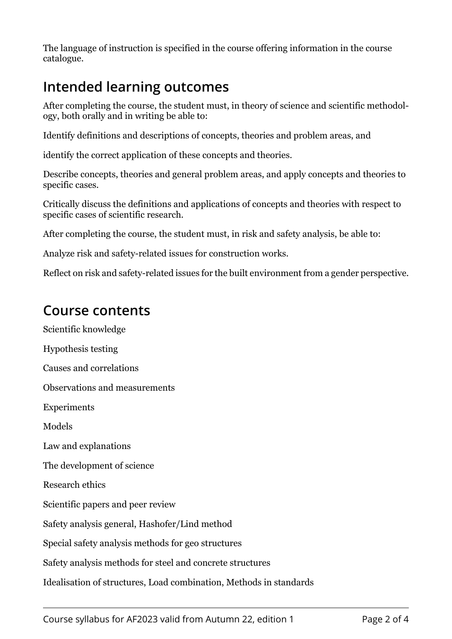The language of instruction is specified in the course offering information in the course catalogue.

# **Intended learning outcomes**

After completing the course, the student must, in theory of science and scientific methodology, both orally and in writing be able to:

Identify definitions and descriptions of concepts, theories and problem areas, and

identify the correct application of these concepts and theories.

Describe concepts, theories and general problem areas, and apply concepts and theories to specific cases.

Critically discuss the definitions and applications of concepts and theories with respect to specific cases of scientific research.

After completing the course, the student must, in risk and safety analysis, be able to:

Analyze risk and safety-related issues for construction works.

Reflect on risk and safety-related issues for the built environment from a gender perspective.

#### **Course contents**

Scientific knowledge Hypothesis testing Causes and correlations Observations and measurements Experiments Models Law and explanations The development of science Research ethics Scientific papers and peer review Safety analysis general, Hashofer/Lind method Special safety analysis methods for geo structures Safety analysis methods for steel and concrete structures Idealisation of structures, Load combination, Methods in standards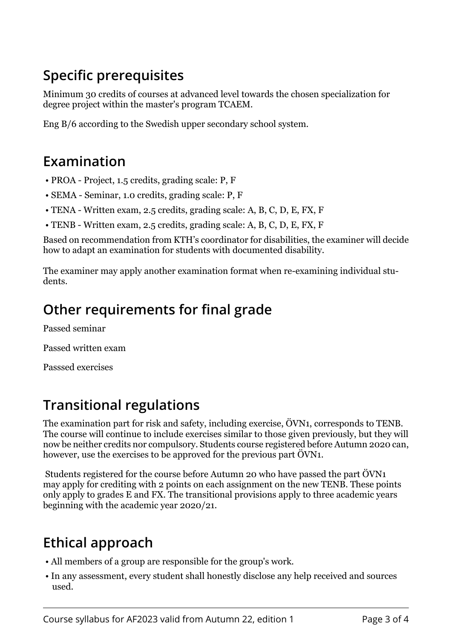# **Specific prerequisites**

Minimum 30 credits of courses at advanced level towards the chosen specialization for degree project within the master's program TCAEM.

Eng B/6 according to the Swedish upper secondary school system.

### **Examination**

- PROA Project, 1.5 credits, grading scale: P, F
- SEMA Seminar, 1.0 credits, grading scale: P, F
- TENA Written exam, 2.5 credits, grading scale: A, B, C, D, E, FX, F
- TENB Written exam, 2.5 credits, grading scale: A, B, C, D, E, FX, F

Based on recommendation from KTH's coordinator for disabilities, the examiner will decide how to adapt an examination for students with documented disability.

The examiner may apply another examination format when re-examining individual students.

# **Other requirements for final grade**

Passed seminar

Passed written exam

Passsed exercises

# **Transitional regulations**

The examination part for risk and safety, including exercise, ÖVN1, corresponds to TENB. The course will continue to include exercises similar to those given previously, but they will now be neither credits nor compulsory. Students course registered before Autumn 2020 can, however, use the exercises to be approved for the previous part ÖVN1.

Students registered for the course before Autumn 20 who have passed the part ÖVN1 may apply for crediting with 2 points on each assignment on the new TENB. These points only apply to grades E and FX. The transitional provisions apply to three academic years beginning with the academic year 2020/21.

# **Ethical approach**

- All members of a group are responsible for the group's work.
- In any assessment, every student shall honestly disclose any help received and sources used.